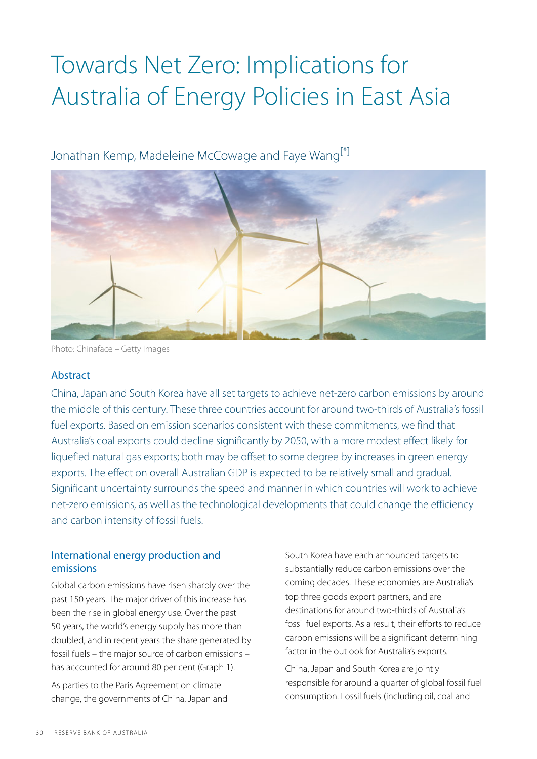# Towards Net Zero: Implications for Australia of Energy Policies in East Asia

<span id="page-0-0"></span>Jonathan Kemp, Madeleine McCowage and Faye Wang<sup>[\[\\*\]](#page-7-0)</sup>



Photo: Chinaface – Getty Images

### Abstract

China, Japan and South Korea have all set targets to achieve net-zero carbon emissions by around the middle of this century. These three countries account for around two-thirds of Australia's fossil fuel exports. Based on emission scenarios consistent with these commitments, we find that Australia's coal exports could decline significantly by 2050, with a more modest effect likely for liquefied natural gas exports; both may be offset to some degree by increases in green energy exports. The effect on overall Australian GDP is expected to be relatively small and gradual. Significant uncertainty surrounds the speed and manner in which countries will work to achieve net-zero emissions, as well as the technological developments that could change the efficiency and carbon intensity of fossil fuels.

## International energy production and emissions

Global carbon emissions have risen sharply over the past 150 years. The major driver of this increase has been the rise in global energy use. Over the past 50 years, the world's energy supply has more than doubled, and in recent years the share generated by fossil fuels – the major source of carbon emissions – has accounted for around 80 per cent (Graph 1).

As parties to the Paris Agreement on climate change, the governments of China, Japan and South Korea have each announced targets to substantially reduce carbon emissions over the coming decades. These economies are Australia's top three goods export partners, and are destinations for around two-thirds of Australia's fossil fuel exports. As a result, their efforts to reduce carbon emissions will be a significant determining factor in the outlook for Australia's exports.

China, Japan and South Korea are jointly responsible for around a quarter of global fossil fuel consumption. Fossil fuels (including oil, coal and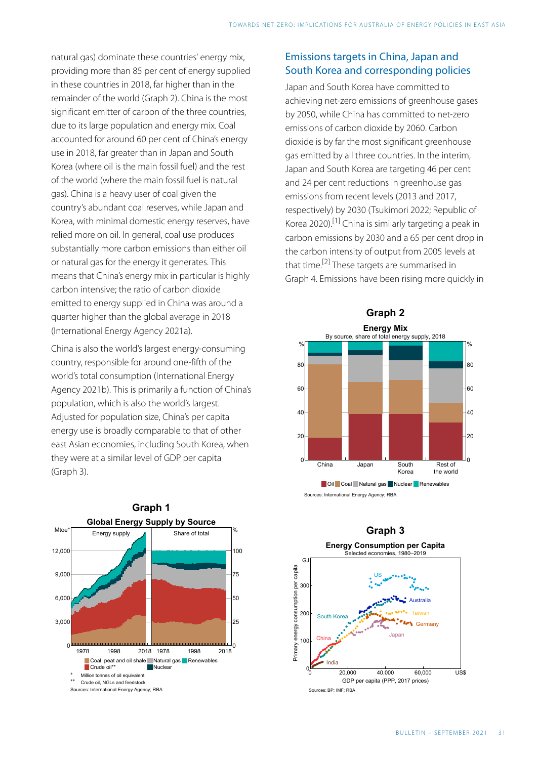natural gas) dominate these countries' energy mix, providing more than 85 per cent of energy supplied in these countries in 2018, far higher than in the remainder of the world (Graph 2). China is the most significant emitter of carbon of the three countries, due to its large population and energy mix. Coal accounted for around 60 per cent of China's energy use in 2018, far greater than in Japan and South Korea (where oil is the main fossil fuel) and the rest of the world (where the main fossil fuel is natural gas). China is a heavy user of coal given the country's abundant coal reserves, while Japan and Korea, with minimal domestic energy reserves, have relied more on oil. In general, coal use produces substantially more carbon emissions than either oil or natural gas for the energy it generates. This means that China's energy mix in particular is highly carbon intensive; the ratio of carbon dioxide emitted to energy supplied in China was around a quarter higher than the global average in 2018 (International Energy Agency 2021a).

<span id="page-1-1"></span><span id="page-1-0"></span>China is also the world's largest energy-consuming country, responsible for around one-fifth of the world's total consumption (International Energy Agency 2021b). This is primarily a function of China's population, which is also the world's largest. Adjusted for population size, China's per capita energy use is broadly comparable to that of other east Asian economies, including South Korea, when they were at a similar level of GDP per capita (Graph 3).



### Emissions targets in China, Japan and South Korea and corresponding policies

Japan and South Korea have committed to achieving net-zero emissions of greenhouse gases by 2050, while China has committed to net-zero emissions of carbon dioxide by 2060. Carbon dioxide is by far the most significant greenhouse gas emitted by all three countries. In the interim, Japan and South Korea are targeting 46 per cent and 24 per cent reductions in greenhouse gas emissions from recent levels (2013 and 2017, respectively) by 2030 (Tsukimori 2022; Republic of Korea 2020).[\[1\]](#page-7-1) China is similarly targeting a peak in carbon emissions by 2030 and a 65 per cent drop in the carbon intensity of output from 2005 levels at that time.<sup>[\[2\]](#page-7-2)</sup> These targets are summarised in Graph 4. Emissions have been rising more quickly in



Sources: International Energy Agency; RBA

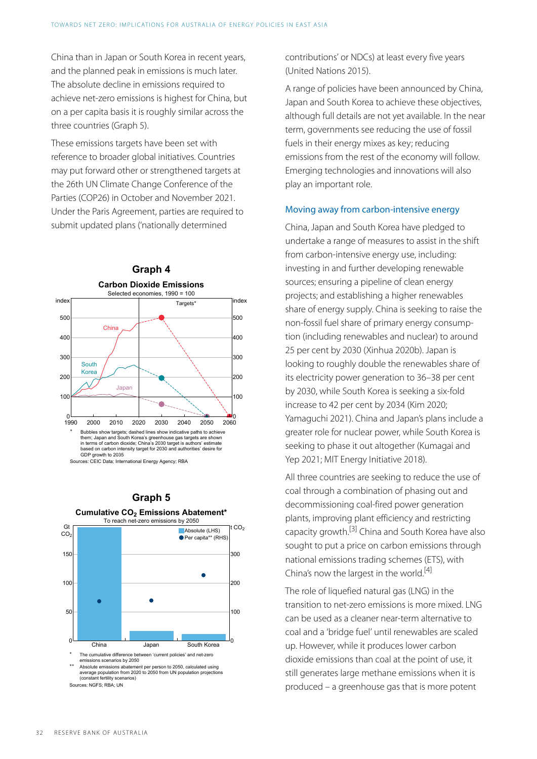China than in Japan or South Korea in recent years, and the planned peak in emissions is much later. The absolute decline in emissions required to achieve net-zero emissions is highest for China, but on a per capita basis it is roughly similar across the three countries (Graph 5).

These emissions targets have been set with reference to broader global initiatives. Countries may put forward other or strengthened targets at the 26th UN Climate Change Conference of the Parties (COP26) in October and November 2021. Under the Paris Agreement, parties are required to submit updated plans ('nationally determined



Sources: CEIC Data; International Energy Agency; RBA

## **Graph 5 Cumulative CO<sup>2</sup> Emissions Abatement\***

<span id="page-2-1"></span><span id="page-2-0"></span>

average population from 2020 to 2050 from UN population projections (constant fertility scenarios) Sources: NGFS; RBA; UN

contributions' or NDCs) at least every five years (United Nations 2015).

A range of policies have been announced by China, Japan and South Korea to achieve these objectives, although full details are not yet available. In the near term, governments see reducing the use of fossil fuels in their energy mixes as key; reducing emissions from the rest of the economy will follow. Emerging technologies and innovations will also play an important role.

#### Moving away from carbon-intensive energy

China, Japan and South Korea have pledged to undertake a range of measures to assist in the shift from carbon-intensive energy use, including: investing in and further developing renewable sources; ensuring a pipeline of clean energy projects; and establishing a higher renewables share of energy supply. China is seeking to raise the non-fossil fuel share of primary energy consumption (including renewables and nuclear) to around 25 per cent by 2030 (Xinhua 2020b). Japan is looking to roughly double the renewables share of its electricity power generation to 36–38 per cent by 2030, while South Korea is seeking a six-fold increase to 42 per cent by 2034 (Kim 2020; Yamaguchi 2021). China and Japan's plans include a greater role for nuclear power, while South Korea is seeking to phase it out altogether (Kumagai and Yep 2021; MIT Energy Initiative 2018).

All three countries are seeking to reduce the use of coal through a combination of phasing out and decommissioning coal-fired power generation plants, improving plant efficiency and restricting capacity growth.[\[3\]](#page-7-3) China and South Korea have also sought to put a price on carbon emissions through national emissions trading schemes (ETS), with China's now the largest in the world.<sup>[\[4\]](#page-7-4)</sup>

The role of liquefied natural gas (LNG) in the transition to net-zero emissions is more mixed. LNG can be used as a cleaner near-term alternative to coal and a 'bridge fuel' until renewables are scaled up. However, while it produces lower carbon dioxide emissions than coal at the point of use, it still generates large methane emissions when it is produced – a greenhouse gas that is more potent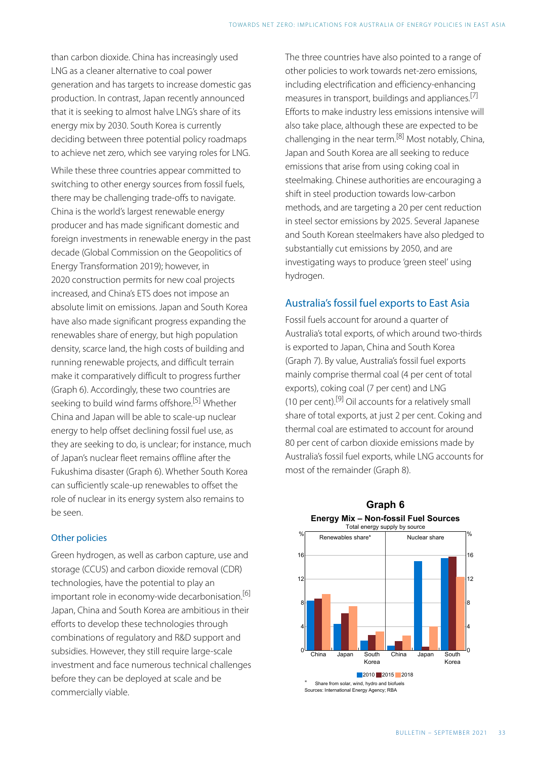<span id="page-3-2"></span>than carbon dioxide. China has increasingly used LNG as a cleaner alternative to coal power generation and has targets to increase domestic gas production. In contrast, Japan recently announced that it is seeking to almost halve LNG's share of its energy mix by 2030. South Korea is currently deciding between three potential policy roadmaps to achieve net zero, which see varying roles for LNG.

<span id="page-3-3"></span>While these three countries appear committed to switching to other energy sources from fossil fuels, there may be challenging trade-offs to navigate. China is the world's largest renewable energy producer and has made significant domestic and foreign investments in renewable energy in the past decade (Global Commission on the Geopolitics of Energy Transformation 2019); however, in 2020 construction permits for new coal projects increased, and China's ETS does not impose an absolute limit on emissions. Japan and South Korea have also made significant progress expanding the renewables share of energy, but high population density, scarce land, the high costs of building and running renewable projects, and difficult terrain make it comparatively difficult to progress further (Graph 6). Accordingly, these two countries are seeking to build wind farms offshore. [\[5\]](#page-8-0) Whether China and Japan will be able to scale-up nuclear energy to help offset declining fossil fuel use, as they are seeking to do, is unclear; for instance, much of Japan's nuclear fleet remains offline after the Fukushima disaster (Graph 6). Whether South Korea can sufficiently scale-up renewables to offset the role of nuclear in its energy system also remains to be seen.

### <span id="page-3-4"></span><span id="page-3-0"></span>Other policies

<span id="page-3-1"></span>Green hydrogen, as well as carbon capture, use and storage (CCUS) and carbon dioxide removal (CDR) technologies, have the potential to play an important role in economy-wide decarbonisation.<sup>[6]</sup> Japan, China and South Korea are ambitious in their efforts to develop these technologies through combinations of regulatory and R&D support and subsidies. However, they still require large-scale investment and face numerous technical challenges before they can be deployed at scale and be commercially viable.

The three countries have also pointed to a range of other policies to work towards net-zero emissions, including electrification and efficiency-enhancing measures in transport, buildings and appliances.<sup>[\[7\]](#page-8-2)</sup> Efforts to make industry less emissions intensive will also take place, although these are expected to be challenging in the near term.[\[8\]](#page-8-3) Most notably, China, Japan and South Korea are all seeking to reduce emissions that arise from using coking coal in steelmaking. Chinese authorities are encouraging a shift in steel production towards low-carbon methods, and are targeting a 20 per cent reduction in steel sector emissions by 2025. Several Japanese and South Korean steelmakers have also pledged to substantially cut emissions by 2050, and are investigating ways to produce 'green steel' using hydrogen.

## Australia's fossil fuel exports to East Asia

Fossil fuels account for around a quarter of Australia's total exports, of which around two-thirds is exported to Japan, China and South Korea (Graph 7). By value, Australia's fossil fuel exports mainly comprise thermal coal (4 per cent of total exports), coking coal (7 per cent) and LNG (10 per cent).<sup>[\[9\]](#page-8-4)</sup> Oil accounts for a relatively small share of total exports, at just 2 per cent. Coking and thermal coal are estimated to account for around 80 per cent of carbon dioxide emissions made by Australia's fossil fuel exports, while LNG accounts for most of the remainder (Graph 8).



### **Graph 6 Energy Mix – Non-fossil Fuel Sources**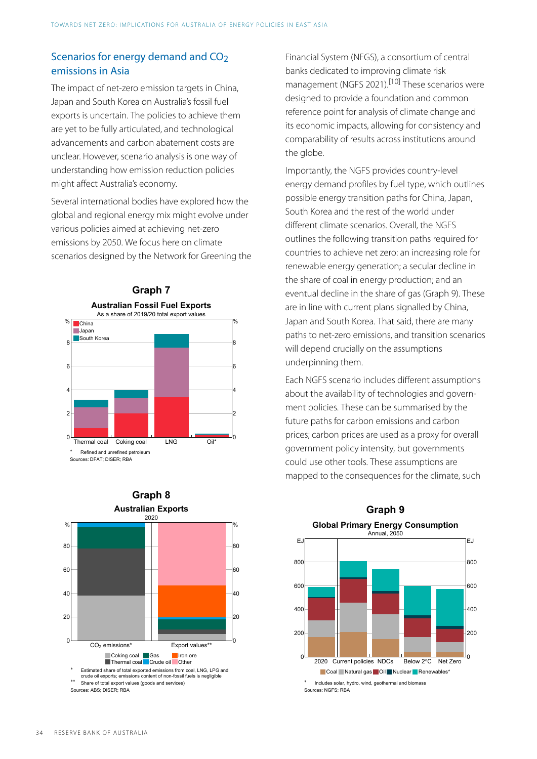## Scenarios for energy demand and CO<sub>2</sub> emissions in Asia

<span id="page-4-0"></span>The impact of net-zero emission targets in China, Japan and South Korea on Australia's fossil fuel exports is uncertain. The policies to achieve them are yet to be fully articulated, and technological advancements and carbon abatement costs are unclear. However, scenario analysis is one way of understanding how emission reduction policies might affect Australia's economy.

Several international bodies have explored how the global and regional energy mix might evolve under various policies aimed at achieving net-zero emissions by 2050. We focus here on climate scenarios designed by the Network for Greening the





Financial System (NFGS), a consortium of central banks dedicated to improving climate risk management (NGFS 2021).<sup>[\[10\]](#page-8-5)</sup> These scenarios were designed to provide a foundation and common reference point for analysis of climate change and its economic impacts, allowing for consistency and comparability of results across institutions around the globe.

Importantly, the NGFS provides country-level energy demand profiles by fuel type, which outlines possible energy transition paths for China, Japan, South Korea and the rest of the world under different climate scenarios. Overall, the NGFS outlines the following transition paths required for countries to achieve net zero: an increasing role for renewable energy generation; a secular decline in the share of coal in energy production; and an eventual decline in the share of gas (Graph 9). These are in line with current plans signalled by China, Japan and South Korea. That said, there are many paths to net-zero emissions, and transition scenarios will depend crucially on the assumptions underpinning them.

Each NGFS scenario includes different assumptions about the availability of technologies and government policies. These can be summarised by the future paths for carbon emissions and carbon prices; carbon prices are used as a proxy for overall government policy intensity, but governments could use other tools. These assumptions are mapped to the consequences for the climate, such



# **Graph 9**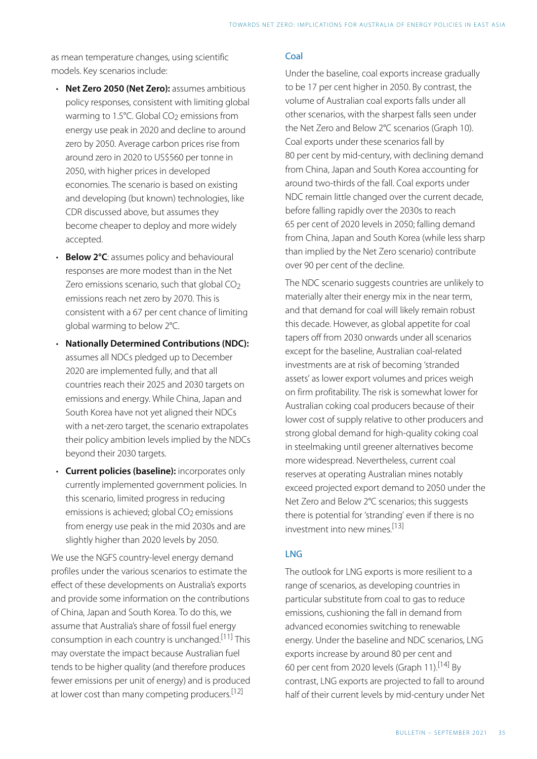as mean temperature changes, using scientific models. Key scenarios include:

- **Net Zero 2050 (Net Zero):** assumes ambitious policy responses, consistent with limiting global warming to 1.5 $°C$ . Global CO<sub>2</sub> emissions from energy use peak in 2020 and decline to around zero by 2050. Average carbon prices rise from around zero in 2020 to US\$560 per tonne in 2050, with higher prices in developed economies. The scenario is based on existing and developing (but known) technologies, like CDR discussed above, but assumes they become cheaper to deploy and more widely accepted.
- **Below 2°C**: assumes policy and behavioural responses are more modest than in the Net Zero emissions scenario, such that global  $CO<sub>2</sub>$ emissions reach net zero by 2070. This is consistent with a 67 per cent chance of limiting global warming to below 2°C.
- **Nationally Determined Contributions (NDC):** assumes all NDCs pledged up to December 2020 are implemented fully, and that all countries reach their 2025 and 2030 targets on emissions and energy. While China, Japan and South Korea have not yet aligned their NDCs with a net-zero target, the scenario extrapolates their policy ambition levels implied by the NDCs beyond their 2030 targets.
- **Current policies (baseline):** incorporates only currently implemented government policies. In this scenario, limited progress in reducing emissions is achieved; global CO<sub>2</sub> emissions from energy use peak in the mid 2030s and are slightly higher than 2020 levels by 2050.

<span id="page-5-3"></span><span id="page-5-2"></span><span id="page-5-1"></span><span id="page-5-0"></span>We use the NGFS country-level energy demand profiles under the various scenarios to estimate the effect of these developments on Australia's exports and provide some information on the contributions of China, Japan and South Korea. To do this, we assume that Australia's share of fossil fuel energy consumption in each country is unchanged. [\[11\]](#page-8-6) This may overstate the impact because Australian fuel tends to be higher quality (and therefore produces fewer emissions per unit of energy) and is produced at lower cost than many competing producers.<sup>[12]</sup>

### Coal

Under the baseline, coal exports increase gradually to be 17 per cent higher in 2050. By contrast, the volume of Australian coal exports falls under all other scenarios, with the sharpest falls seen under the Net Zero and Below 2°C scenarios (Graph 10). Coal exports under these scenarios fall by 80 per cent by mid-century, with declining demand from China, Japan and South Korea accounting for around two-thirds of the fall. Coal exports under NDC remain little changed over the current decade, before falling rapidly over the 2030s to reach 65 per cent of 2020 levels in 2050; falling demand from China, Japan and South Korea (while less sharp than implied by the Net Zero scenario) contribute over 90 per cent of the decline.

The NDC scenario suggests countries are unlikely to materially alter their energy mix in the near term, and that demand for coal will likely remain robust this decade. However, as global appetite for coal tapers off from 2030 onwards under all scenarios except for the baseline, Australian coal-related investments are at risk of becoming 'stranded assets' as lower export volumes and prices weigh on firm profitability. The risk is somewhat lower for Australian coking coal producers because of their lower cost of supply relative to other producers and strong global demand for high-quality coking coal in steelmaking until greener alternatives become more widespread. Nevertheless, current coal reserves at operating Australian mines notably exceed projected export demand to 2050 under the Net Zero and Below 2°C scenarios; this suggests there is potential for 'stranding' even if there is no investment into new mines. [\[13\]](#page-8-8) 

### LNG

The outlook for LNG exports is more resilient to a range of scenarios, as developing countries in particular substitute from coal to gas to reduce emissions, cushioning the fall in demand from advanced economies switching to renewable energy. Under the baseline and NDC scenarios, LNG exports increase by around 80 per cent and 60 per cent from 2020 levels (Graph 11).[\[14\]](#page-8-9) By contrast, LNG exports are projected to fall to around half of their current levels by mid-century under Net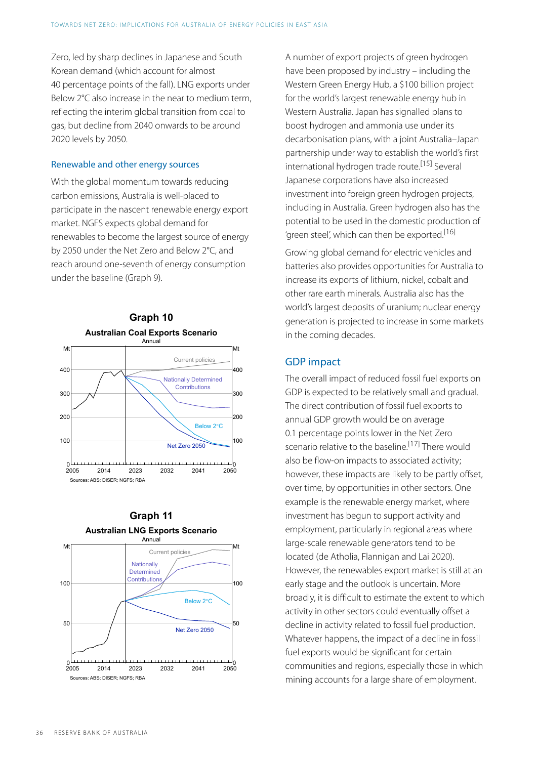Zero, led by sharp declines in Japanese and South Korean demand (which account for almost 40 percentage points of the fall). LNG exports under Below 2°C also increase in the near to medium term, reflecting the interim global transition from coal to gas, but decline from 2040 onwards to be around 2020 levels by 2050.

#### <span id="page-6-0"></span>Renewable and other energy sources

<span id="page-6-1"></span>With the global momentum towards reducing carbon emissions, Australia is well-placed to participate in the nascent renewable energy export market. NGFS expects global demand for renewables to become the largest source of energy by 2050 under the Net Zero and Below 2°C, and reach around one-seventh of energy consumption under the baseline (Graph 9).



<span id="page-6-2"></span>

A number of export projects of green hydrogen have been proposed by industry – including the Western Green Energy Hub, a \$100 billion project for the world's largest renewable energy hub in Western Australia. Japan has signalled plans to boost hydrogen and ammonia use under its decarbonisation plans, with a joint Australia–Japan partnership under way to establish the world's first international hydrogen trade route. [\[15\]](#page-8-10) Several Japanese corporations have also increased investment into foreign green hydrogen projects, including in Australia. Green hydrogen also has the potential to be used in the domestic production of 'green steel', which can then be exported.<sup>[\[16\]](#page-8-11)</sup>

Growing global demand for electric vehicles and batteries also provides opportunities for Australia to increase its exports of lithium, nickel, cobalt and other rare earth minerals. Australia also has the world's largest deposits of uranium; nuclear energy generation is projected to increase in some markets in the coming decades.

### GDP impact

The overall impact of reduced fossil fuel exports on GDP is expected to be relatively small and gradual. The direct contribution of fossil fuel exports to annual GDP growth would be on average 0.1 percentage points lower in the Net Zero scenario relative to the baseline.<sup>[\[17\]](#page-8-12)</sup> There would also be flow-on impacts to associated activity; however, these impacts are likely to be partly offset, over time, by opportunities in other sectors. One example is the renewable energy market, where investment has begun to support activity and employment, particularly in regional areas where large-scale renewable generators tend to be located (de Atholia, Flannigan and Lai 2020). However, the renewables export market is still at an early stage and the outlook is uncertain. More broadly, it is difficult to estimate the extent to which activity in other sectors could eventually offset a decline in activity related to fossil fuel production. Whatever happens, the impact of a decline in fossil fuel exports would be significant for certain communities and regions, especially those in which mining accounts for a large share of employment.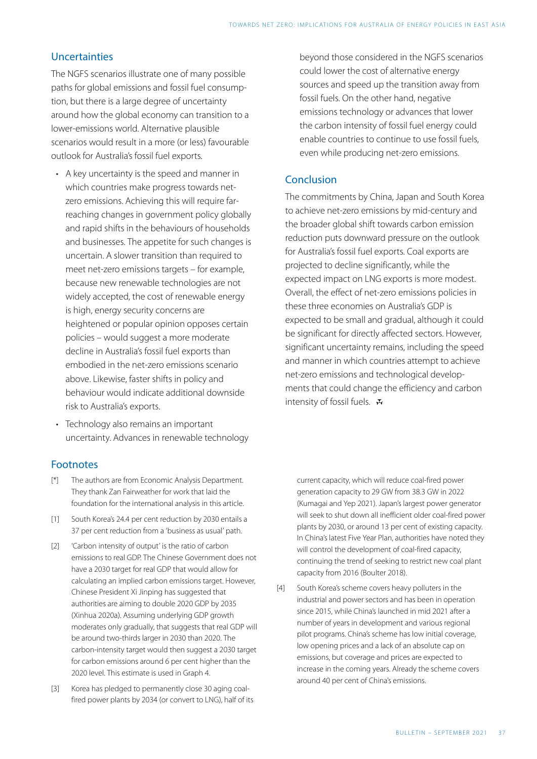## Uncertainties

The NGFS scenarios illustrate one of many possible paths for global emissions and fossil fuel consumption, but there is a large degree of uncertainty around how the global economy can transition to a lower-emissions world. Alternative plausible scenarios would result in a more (or less) favourable outlook for Australia's fossil fuel exports.

- A key uncertainty is the speed and manner in which countries make progress towards netzero emissions. Achieving this will require farreaching changes in government policy globally and rapid shifts in the behaviours of households and businesses. The appetite for such changes is uncertain. A slower transition than required to meet net-zero emissions targets – for example, because new renewable technologies are not widely accepted, the cost of renewable energy is high, energy security concerns are heightened or popular opinion opposes certain policies – would suggest a more moderate decline in Australia's fossil fuel exports than embodied in the net-zero emissions scenario above. Likewise, faster shifts in policy and behaviour would indicate additional downside risk to Australia's exports.
- Technology also remains an important uncertainty. Advances in renewable technology

## Footnotes

- <span id="page-7-0"></span>The authors are from Economic Analysis Department. They thank Zan Fairweather for work that laid the foundation for the international analysis in this article.  $\lceil * \rceil$
- <span id="page-7-1"></span>South Korea's 24.4 per cent reduction by 2030 entails a 37 per cent reduction from a 'business as usual' path. [\[1\]](#page-1-0)
- <span id="page-7-4"></span><span id="page-7-2"></span>'Carbon intensity of output' is the ratio of carbon emissions to real GDP. The Chinese Government does not have a 2030 target for real GDP that would allow for calculating an implied carbon emissions target. However, Chinese President Xi Jinping has suggested that authorities are aiming to double 2020 GDP by 2035 (Xinhua 2020a). Assuming underlying GDP growth moderates only gradually, that suggests that real GDP will be around two-thirds larger in 2030 than 2020. The carbon-intensity target would then suggest a 2030 target for carbon emissions around 6 per cent higher than the 2020 level. This estimate is used in Graph 4. [\[2\]](#page-1-1)
- <span id="page-7-3"></span>Korea has pledged to permanently close 30 aging coalfired power plants by 2034 (or convert to LNG), half of its [\[3\]](#page-2-0)

beyond those considered in the NGFS scenarios could lower the cost of alternative energy sources and speed up the transition away from fossil fuels. On the other hand, negative emissions technology or advances that lower the carbon intensity of fossil fuel energy could enable countries to continue to use fossil fuels, even while producing net-zero emissions.

## Conclusion

The commitments by China, Japan and South Korea to achieve net-zero emissions by mid-century and the broader global shift towards carbon emission reduction puts downward pressure on the outlook for Australia's fossil fuel exports. Coal exports are projected to decline significantly, while the expected impact on LNG exports is more modest. Overall, the effect of net-zero emissions policies in these three economies on Australia's GDP is expected to be small and gradual, although it could be significant for directly affected sectors. However, significant uncertainty remains, including the speed and manner in which countries attempt to achieve net-zero emissions and technological developments that could change the efficiency and carbon intensity of fossil fuels.  $\mathbf{\ddot{v}}$ 

current capacity, which will reduce coal-fired power generation capacity to 29 GW from 38.3 GW in 2022 (Kumagai and Yep 2021). Japan's largest power generator will seek to shut down all inefficient older coal-fired power plants by 2030, or around 13 per cent of existing capacity. In China's latest Five Year Plan, authorities have noted they will control the development of coal-fired capacity, continuing the trend of seeking to restrict new coal plant capacity from 2016 (Boulter 2018).

South Korea's scheme covers heavy polluters in the industrial and power sectors and has been in operation since 2015, while China's launched in mid 2021 after a number of years in development and various regional pilot programs. China's scheme has low initial coverage, low opening prices and a lack of an absolute cap on emissions, but coverage and prices are expected to increase in the coming years. Already the scheme covers around 40 per cent of China's emissions. [\[4\]](#page-2-1)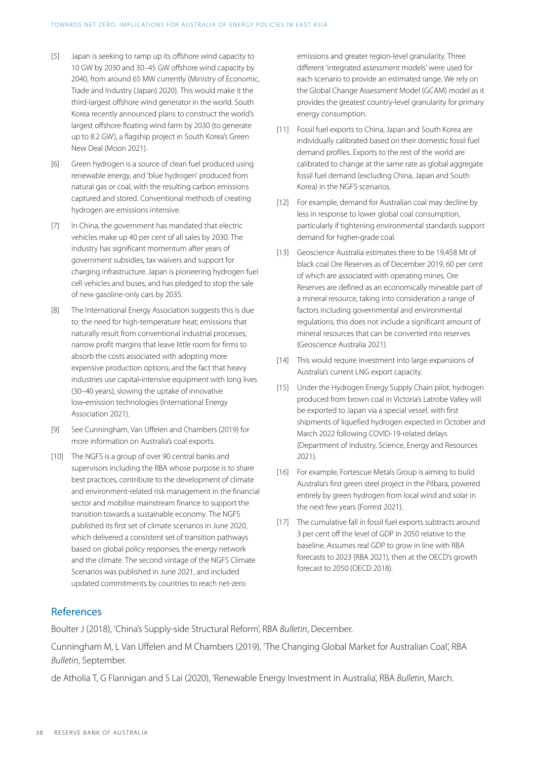- <span id="page-8-0"></span>Japan is seeking to ramp up its offshore wind capacity to 10 GW by 2030 and 30–45 GW offshore wind capacity by 2040, from around 65 MW currently (Ministry of Economic, Trade and Industry (Japan) 2020). This would make it the third-largest offshore wind generator in the world. South Korea recently announced plans to construct the world's largest offshore floating wind farm by 2030 (to generate up to 8.2 GW), a flagship project in South Korea's Green New Deal (Moon 2021). [\[5\]](#page-3-0)
- <span id="page-8-6"></span><span id="page-8-1"></span>Green hydrogen is a source of clean fuel produced using renewable energy, and 'blue hydrogen' produced from natural gas or coal, with the resulting carbon emissions captured and stored. Conventional methods of creating hydrogen are emissions intensive. [\[6\]](#page-3-1)
- <span id="page-8-8"></span><span id="page-8-7"></span><span id="page-8-2"></span>In China, the government has mandated that electric vehicles make up 40 per cent of all sales by 2030. The industry has significant momentum after years of government subsidies, tax waivers and support for charging infrastructure. Japan is pioneering hydrogen fuel cell vehicles and buses, and has pledged to stop the sale of new gasoline-only cars by 2035. [\[7\]](#page-3-2)
- <span id="page-8-9"></span><span id="page-8-3"></span>The International Energy Association suggests this is due to: the need for high-temperature heat; emissions that naturally result from conventional industrial processes; narrow profit margins that leave little room for firms to absorb the costs associated with adopting more expensive production options; and the fact that heavy industries use capital‐intensive equipment with long lives (30–40 years), slowing the uptake of innovative low‐emission technologies (International Energy Association 2021). [\[8\]](#page-3-3)
- <span id="page-8-10"></span><span id="page-8-4"></span>See Cunningham, Van Uffelen and Chambers (2019) for more information on Australia's coal exports. [\[9\]](#page-3-4)
- <span id="page-8-12"></span><span id="page-8-11"></span><span id="page-8-5"></span>The NGFS is a group of over 90 central banks and [\[10\]](#page-4-0) supervisors including the RBA whose purpose is to share best practices, contribute to the development of climate and environment-related risk management in the financial sector and mobilise mainstream finance to support the transition towards a sustainable economy. The NGFS published its first set of climate scenarios in June 2020, which delivered a consistent set of transition pathways based on global policy responses, the energy network and the climate. The second vintage of the NGFS Climate Scenarios was published in June 2021, and included updated commitments by countries to reach net-zero

emissions and greater region-level granularity. Three different 'integrated assessment models' were used for each scenario to provide an estimated range. We rely on the Global Change Assessment Model (GCAM) model as it provides the greatest country-level granularity for primary energy consumption.

- Fossil fuel exports to China, Japan and South Korea are [\[11\]](#page-5-0) individually calibrated based on their domestic fossil fuel demand profiles. Exports to the rest of the world are calibrated to change at the same rate as global aggregate fossil fuel demand (excluding China, Japan and South Korea) in the NGFS scenarios.
- [\[12\]](#page-5-1) For example, demand for Australian coal may decline by less in response to lower global coal consumption, particularly if tightening environmental standards support demand for higher-grade coal.
- Geoscience Australia estimates there to be 19,458 Mt of [\[13\]](#page-5-2) black coal Ore Reserves as of December 2019, 60 per cent of which are associated with operating mines. Ore Reserves are defined as an economically mineable part of a mineral resource, taking into consideration a range of factors including governmental and environmental regulations; this does not include a significant amount of mineral resources that can be converted into reserves (Geoscience Australia 2021).
- [\[14\]](#page-5-3) This would require investment into large expansions of Australia's current LNG export capacity.
- Under the Hydrogen Energy Supply Chain pilot, hydrogen [\[15\]](#page-6-0) produced from brown coal in Victoria's Latrobe Valley will be exported to Japan via a special vessel, with first shipments of liquefied hydrogen expected in October and March 2022 following COVID-19 -related delays (Department of Industry, Science, Energy and Resources 2021).
- [\[16\]](#page-6-1) For example, Fortescue Metals Group is aiming to build Australia's first green steel project in the Pilbara, powered entirely by green hydrogen from local wind and solar in the next few years (Forrest 2021).
- [\[17\]](#page-6-2) The cumulative fall in fossil fuel exports subtracts around 3 per cent off the level of GDP in 2050 relative to the baseline. Assumes real GDP to grow in line with RBA forecasts to 2023 (RBA 2021), then at the OECD's growth forecast to 2050 (OECD 2018).

### References

Boulter J (2018), 'China's Supply-side Structural Reform', RBA *[Bulletin](https://www.rba.gov.au/publications/bulletin/2018/dec/chinas-supply-side-structural-reform.html)*, December.

Cunningham M, L Van Uffelen and M Chambers (2019), 'The Changing Global Market for Australian Coal', RBA *[Bulletin](https://www.rba.gov.au/publications/bulletin/2019/sep/the-changing-global-market-for-australian-coal.html)*, September.

de Atholia T, G Flannigan and S Lai (2020), 'Renewable Energy Investment in Australia', RBA *[Bulletin](https://www.rba.gov.au/publications/bulletin/2020/mar/renewable-energy-investment-in-australia.html)*, March.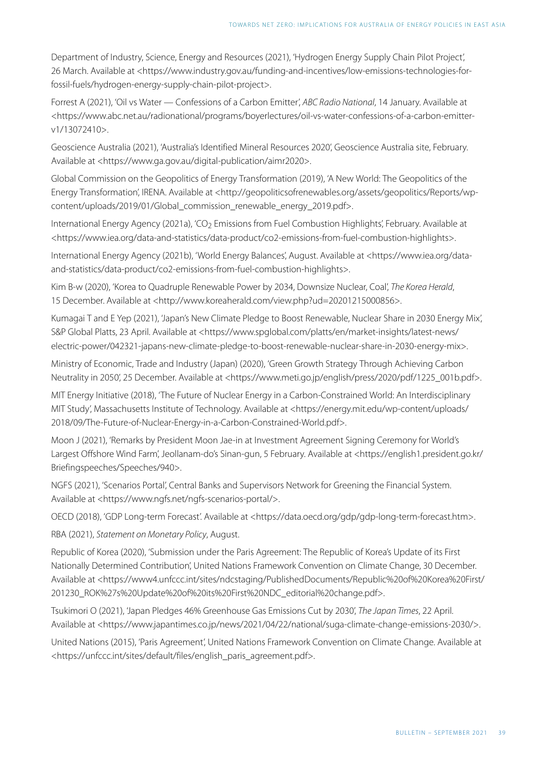Department of Industry, Science, Energy and Resources (2021), 'Hydrogen Energy Supply Chain Pilot Project', 26 March. Available at <https://www.industry.gov.au/funding-and-incentives/low-emissions-technologies-forfossil-fuels/hydrogen-energy-supply-chain-pilot-project>.

Forrest A (2021), 'Oil vs Water — Confessions of a Carbon Emitter', *ABC Radio National*, 14 January. Available at <https://www.abc.net.au/radionational/programs/boyerlectures/oil-vs-water-confessions-of-a-carbon-emitterv1/13072410>.

Geoscience Australia (2021), 'Australia's Identified Mineral Resources 2020', Geoscience Australia site, February. Available at <https://www.ga.gov.au/digital-publication/aimr2020>.

Global Commission on the Geopolitics of Energy Transformation (2019), 'A New World: The Geopolitics of the Energy Transformation', IRENA. Available at <http://geopoliticsofrenewables.org/assets/geopolitics/Reports/wpcontent/uploads/2019/01/Global\_commission\_renewable\_energy\_2019.pdf>.

International Energy Agency (2021a), 'CO<sub>2</sub> Emissions from Fuel Combustion Highlights', February. Available at <https://www.iea.org/data-and-statistics/data-product/co2-emissions-from-fuel-combustion-highlights>.

International Energy Agency (2021b), 'World Energy Balances', August. Available at <https://www.iea.org/dataand-statistics/data-product/co2-emissions-from-fuel-combustion-highlights>.

Kim B-w (2020), 'Korea to Quadruple Renewable Power by 2034, Downsize Nuclear, Coal', *The Korea Herald*, 15 December. Available at <http://www.koreaherald.com/view.php?ud=20201215000856>.

Kumagai T and E Yep (2021), 'Japan's New Climate Pledge to Boost Renewable, Nuclear Share in 2030 Energy Mix', S&P Global Platts, 23 April. Available at <https://www.spglobal.com/platts/en/market-insights/latest-news/ electric-power/042321-japans-new-climate-pledge-to-boost-renewable-nuclear-share-in-2030-energy-mix>.

Ministry of Economic, Trade and Industry (Japan) (2020), 'Green Growth Strategy Through Achieving Carbon Neutrality in 2050', 25 December. Available at <https://www.meti.go.jp/english/press/2020/pdf/1225\_001b.pdf>.

MIT Energy Initiative (2018), 'The Future of Nuclear Energy in a Carbon-Constrained World: An Interdisciplinary MIT Study', Massachusetts Institute of Technology. Available at <https://energy.mit.edu/wp-content/uploads/ 2018/09/The-Future-of-Nuclear-Energy-in-a-Carbon-Constrained-World.pdf>.

Moon J (2021), 'Remarks by President Moon Jae-in at Investment Agreement Signing Ceremony for World's Largest Offshore Wind Farm', Jeollanam-do's Sinan-gun, 5 February. Available at <https://english1.president.go.kr/ Briefingspeeches/Speeches/940>.

NGFS (2021), 'Scenarios Portal', Central Banks and Supervisors Network for Greening the Financial System. Available at <https://www.ngfs.net/ngfs-scenarios-portal/>.

OECD (2018), 'GDP Long-term Forecast'. Available at <https://data.oecd.org/gdp/gdp-long-term-forecast.htm>.

RBA (2021), *[Statement on Monetary Policy](https://www.rba.gov.au/publications/smp/2021/aug/)*, August.

Republic of Korea (2020), 'Submission under the Paris Agreement: The Republic of Korea's Update of its First Nationally Determined Contribution', United Nations Framework Convention on Climate Change, 30 December. Available at <https://www4.unfccc.int/sites/ndcstaging/PublishedDocuments/Republic%20of%20Korea%20First/ 201230\_ROK%27s%20Update%20of%20its%20First%20NDC\_editorial%20change.pdf>.

Tsukimori O (2021), 'Japan Pledges 46% Greenhouse Gas Emissions Cut by 2030', *The Japan Times*, 22 April. Available at <https://www.japantimes.co.jp/news/2021/04/22/national/suga-climate-change-emissions-2030/>.

United Nations (2015), 'Paris Agreement', United Nations Framework Convention on Climate Change. Available at <https://unfccc.int/sites/default/files/english\_paris\_agreement.pdf>.